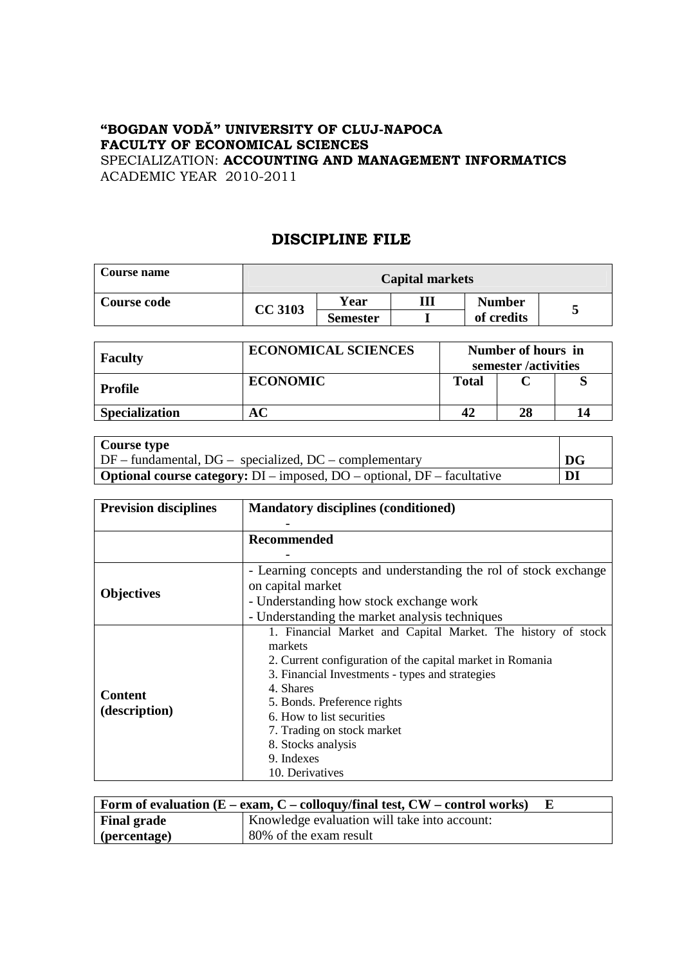## **"BOGDAN VODĂ" UNIVERSITY OF CLUJ-NAPOCA FACULTY OF ECONOMICAL SCIENCES**  SPECIALIZATION: **ACCOUNTING AND MANAGEMENT INFORMATICS**

ACADEMIC YEAR 2010-2011

## **DISCIPLINE FILE**

| <b>Course name</b> | <b>Capital markets</b> |                 |  |               |  |  |
|--------------------|------------------------|-----------------|--|---------------|--|--|
| Course code        | <b>CC 3103</b>         | Year            |  | <b>Number</b> |  |  |
|                    |                        | <b>Semester</b> |  | of credits    |  |  |

| <b>Faculty</b>        | <b>ECONOMICAL SCIENCES</b> |       | Number of hours in<br>semester /activities |  |
|-----------------------|----------------------------|-------|--------------------------------------------|--|
| Profile               | <b>ECONOMIC</b>            | Total |                                            |  |
| <b>Specialization</b> |                            | 42    | 28                                         |  |

| Course type                                                                          |                                   |
|--------------------------------------------------------------------------------------|-----------------------------------|
| $\vert$ DF – fundamental, DG – specialized, DC – complementary                       | $\overline{\mathbf{D}\mathbf{G}}$ |
| <b>Optional course category:</b> $DI$ – imposed, $DO$ – optional, $DF$ – facultative | DI                                |

| <b>Prevision disciplines</b>    | <b>Mandatory disciplines (conditioned)</b>                                                                                                                                                                                                                                                                                                            |  |  |  |
|---------------------------------|-------------------------------------------------------------------------------------------------------------------------------------------------------------------------------------------------------------------------------------------------------------------------------------------------------------------------------------------------------|--|--|--|
|                                 | Recommended                                                                                                                                                                                                                                                                                                                                           |  |  |  |
| <b>Objectives</b>               | - Learning concepts and understanding the rol of stock exchange<br>on capital market<br>- Understanding how stock exchange work<br>- Understanding the market analysis techniques                                                                                                                                                                     |  |  |  |
| <b>Content</b><br>(description) | 1. Financial Market and Capital Market. The history of stock<br>markets<br>2. Current configuration of the capital market in Romania<br>3. Financial Investments - types and strategies<br>4. Shares<br>5. Bonds. Preference rights<br>6. How to list securities<br>7. Trading on stock market<br>8. Stocks analysis<br>9. Indexes<br>10. Derivatives |  |  |  |

| Form of evaluation $(E - exam, C - colloquy/final \text{ test}, CW - control \text{ works})$ |                                              |  |  |
|----------------------------------------------------------------------------------------------|----------------------------------------------|--|--|
| <b>Final grade</b>                                                                           | Knowledge evaluation will take into account: |  |  |
| $\vert$ (percentage)                                                                         | 80% of the exam result                       |  |  |